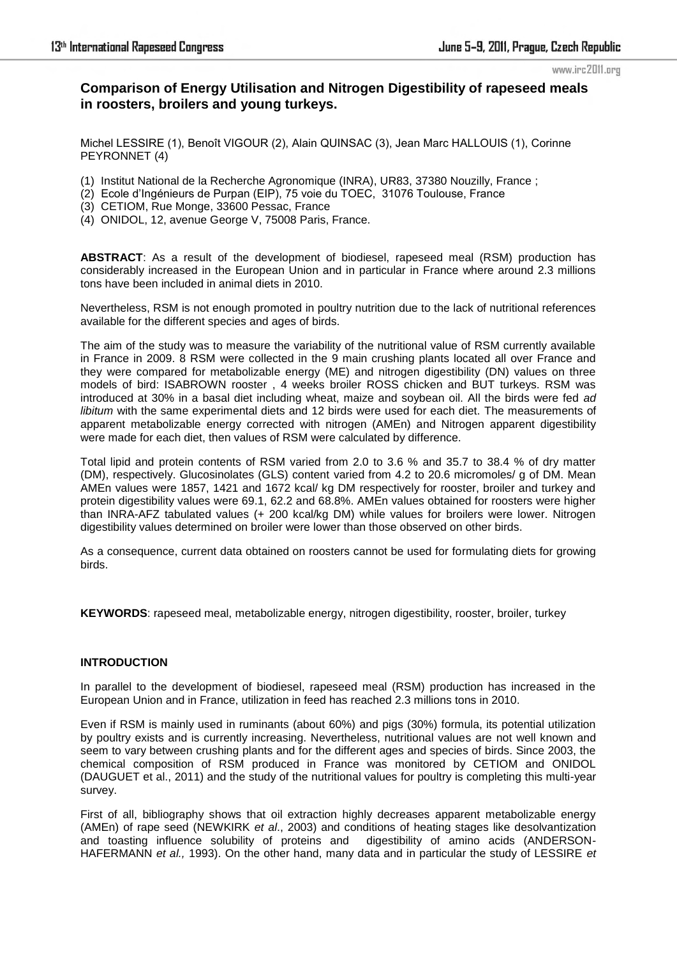# **Comparison of Energy Utilisation and Nitrogen Digestibility of rapeseed meals in roosters, broilers and young turkeys.**

Michel LESSIRE (1), Benoît VIGOUR (2), Alain QUINSAC (3), Jean Marc HALLOUIS (1), Corinne PEYRONNET (4)

- (1) Institut National de la Recherche Agronomique (INRA), UR83, 37380 Nouzilly, France ;
- (2) Ecole d'Ingénieurs de Purpan (EIP), 75 voie du TOEC, 31076 Toulouse, France
- (3) CETIOM, Rue Monge, 33600 Pessac, France
- (4) ONIDOL, 12, avenue George V, 75008 Paris, France.

**ABSTRACT**: As a result of the development of biodiesel, rapeseed meal (RSM) production has considerably increased in the European Union and in particular in France where around 2.3 millions tons have been included in animal diets in 2010.

Nevertheless, RSM is not enough promoted in poultry nutrition due to the lack of nutritional references available for the different species and ages of birds.

The aim of the study was to measure the variability of the nutritional value of RSM currently available in France in 2009. 8 RSM were collected in the 9 main crushing plants located all over France and they were compared for metabolizable energy (ME) and nitrogen digestibility (DN) values on three models of bird: ISABROWN rooster , 4 weeks broiler ROSS chicken and BUT turkeys. RSM was introduced at 30% in a basal diet including wheat, maize and soybean oil. All the birds were fed *ad libitum* with the same experimental diets and 12 birds were used for each diet. The measurements of apparent metabolizable energy corrected with nitrogen (AMEn) and Nitrogen apparent digestibility were made for each diet, then values of RSM were calculated by difference.

Total lipid and protein contents of RSM varied from 2.0 to 3.6 % and 35.7 to 38.4 % of dry matter (DM), respectively. Glucosinolates (GLS) content varied from 4.2 to 20.6 micromoles/ g of DM. Mean AMEn values were 1857, 1421 and 1672 kcal/ kg DM respectively for rooster, broiler and turkey and protein digestibility values were 69.1, 62.2 and 68.8%. AMEn values obtained for roosters were higher than INRA-AFZ tabulated values (+ 200 kcal/kg DM) while values for broilers were lower. Nitrogen digestibility values determined on broiler were lower than those observed on other birds.

As a consequence, current data obtained on roosters cannot be used for formulating diets for growing birds.

**KEYWORDS**: rapeseed meal, metabolizable energy, nitrogen digestibility, rooster, broiler, turkey

### **INTRODUCTION**

In parallel to the development of biodiesel, rapeseed meal (RSM) production has increased in the European Union and in France, utilization in feed has reached 2.3 millions tons in 2010.

Even if RSM is mainly used in ruminants (about 60%) and pigs (30%) formula, its potential utilization by poultry exists and is currently increasing. Nevertheless, nutritional values are not well known and seem to vary between crushing plants and for the different ages and species of birds. Since 2003, the chemical composition of RSM produced in France was monitored by CETIOM and ONIDOL (DAUGUET et al., 2011) and the study of the nutritional values for poultry is completing this multi-year survey.

First of all, bibliography shows that oil extraction highly decreases apparent metabolizable energy (AMEn) of rape seed (NEWKIRK *et al*., 2003) and conditions of heating stages like desolvantization and toasting influence solubility of proteins and digestibility of amino acids (ANDERSON-HAFERMANN *et al.,* 1993). On the other hand, many data and in particular the study of LESSIRE *et*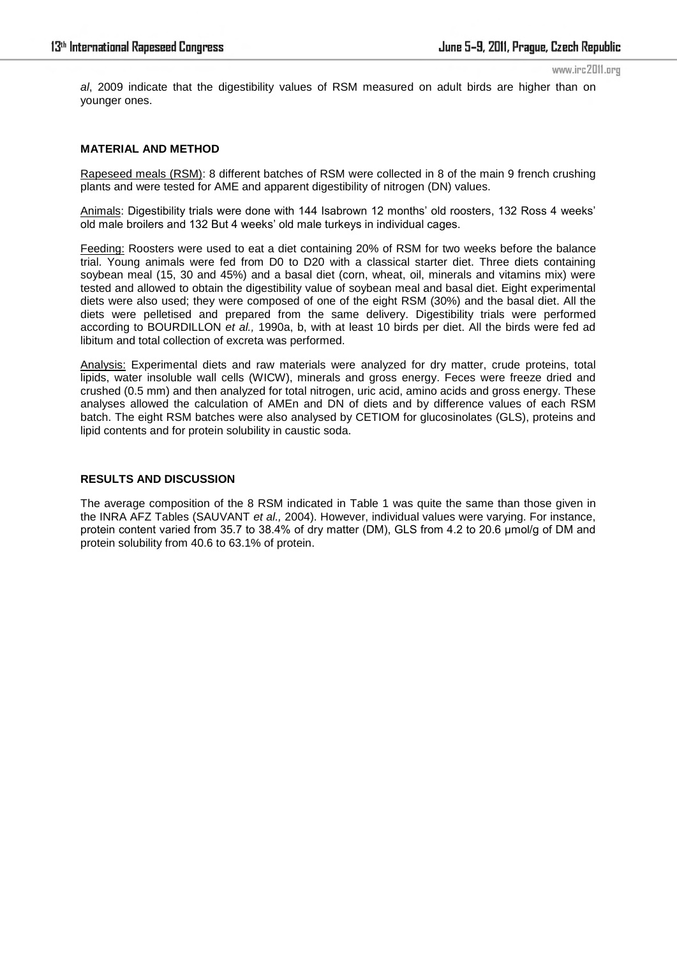*al*, 2009 indicate that the digestibility values of RSM measured on adult birds are higher than on younger ones.

### **MATERIAL AND METHOD**

Rapeseed meals (RSM): 8 different batches of RSM were collected in 8 of the main 9 french crushing plants and were tested for AME and apparent digestibility of nitrogen (DN) values.

Animals: Digestibility trials were done with 144 Isabrown 12 months' old roosters, 132 Ross 4 weeks' old male broilers and 132 But 4 weeks' old male turkeys in individual cages.

Feeding: Roosters were used to eat a diet containing 20% of RSM for two weeks before the balance trial. Young animals were fed from D0 to D20 with a classical starter diet. Three diets containing soybean meal (15, 30 and 45%) and a basal diet (corn, wheat, oil, minerals and vitamins mix) were tested and allowed to obtain the digestibility value of soybean meal and basal diet. Eight experimental diets were also used; they were composed of one of the eight RSM (30%) and the basal diet. All the diets were pelletised and prepared from the same delivery. Digestibility trials were performed according to BOURDILLON *et al.,* 1990a, b, with at least 10 birds per diet. All the birds were fed ad libitum and total collection of excreta was performed.

Analysis: Experimental diets and raw materials were analyzed for dry matter, crude proteins, total lipids, water insoluble wall cells (WICW), minerals and gross energy. Feces were freeze dried and crushed (0.5 mm) and then analyzed for total nitrogen, uric acid, amino acids and gross energy. These analyses allowed the calculation of AMEn and DN of diets and by difference values of each RSM batch. The eight RSM batches were also analysed by CETIOM for glucosinolates (GLS), proteins and lipid contents and for protein solubility in caustic soda.

# **RESULTS AND DISCUSSION**

The average composition of the 8 RSM indicated in Table 1 was quite the same than those given in the INRA AFZ Tables (SAUVANT *et al.,* 2004). However, individual values were varying. For instance, protein content varied from 35.7 to 38.4% of dry matter (DM), GLS from 4.2 to 20.6 µmol/g of DM and protein solubility from 40.6 to 63.1% of protein.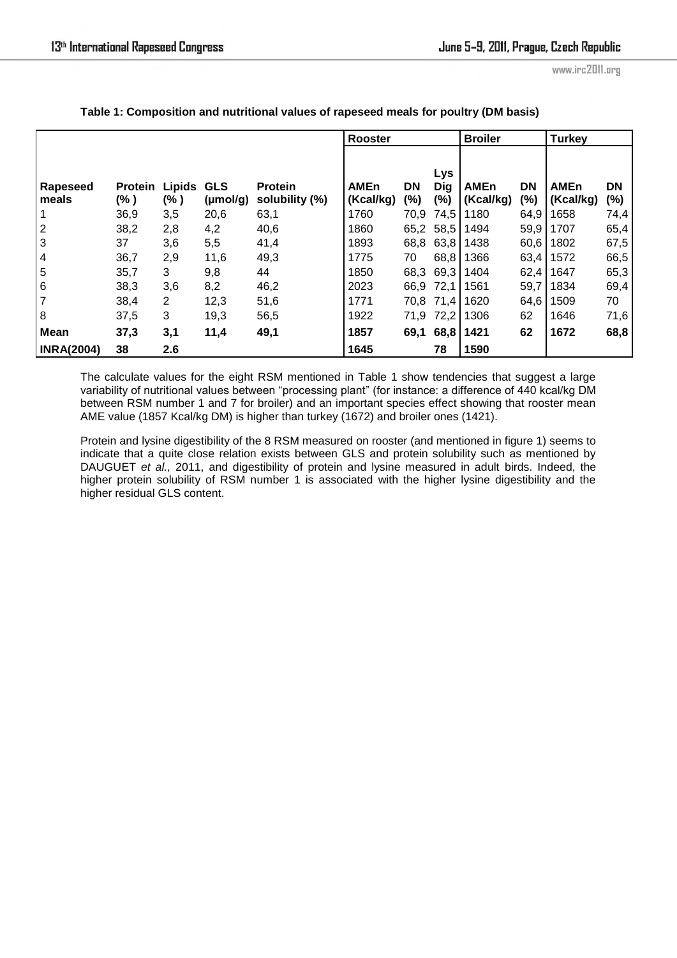|                     |                        |                |                       |                                  | <b>Rooster</b>           |           |                          | <b>Broiler</b>           |                     | <b>Turkey</b>            |                     |
|---------------------|------------------------|----------------|-----------------------|----------------------------------|--------------------------|-----------|--------------------------|--------------------------|---------------------|--------------------------|---------------------|
| Rapeseed<br>l meals | <b>Protein</b><br>(% ) | Lipids<br>(% ) | <b>GLS</b><br>(mol/g) | <b>Protein</b><br>solubility (%) | <b>AMEn</b><br>(Kcal/kg) | DN<br>(%) | Lys<br><b>Dig</b><br>(%) | <b>AMEn</b><br>(Kcal/kg) | <b>DN</b><br>$(\%)$ | <b>AMEn</b><br>(Kcal/kg) | <b>DN</b><br>$(\%)$ |
| $\vert$ 1           | 36,9                   | 3,5            | 20,6                  | 63,1                             | 1760                     | 70,9      | 74,5                     | 1180                     | 64,9                | 1658                     | 74,4                |
| $\overline{2}$      | 38,2                   | 2,8            | 4,2                   | 40,6                             | 1860                     |           | 65,2 58,5                | 1494                     | 59,9                | 1707                     | 65,4                |
| $\overline{3}$      | 37                     | 3,6            | 5,5                   | 41,4                             | 1893                     | 68,8      | 63,8                     | 1438                     | 60,6                | 1802                     | 67,5                |
| $\overline{4}$      | 36,7                   | 2,9            | 11,6                  | 49,3                             | 1775                     | 70        | 68,8                     | 1366                     | 63,4                | 1572                     | 66,5                |
| $\overline{5}$      | 35,7                   | 3              | 9,8                   | 44                               | 1850                     | 68,3      | 69,3                     | 1404                     | 62,4                | 1647                     | 65,3                |
| 6                   | 38,3                   | 3,6            | 8,2                   | 46,2                             | 2023                     | 66,9      | 72,1                     | 1561                     | 59,7                | 1834                     | 69,4                |
| 7                   | 38,4                   | 2              | 12,3                  | 51,6                             | 1771                     |           | 70,8 71,4                | 1620                     | 64,6                | 1509                     | 70                  |
| 8                   | 37,5                   | 3              | 19,3                  | 56,5                             | 1922                     | 71,9      | 72,2                     | 1306                     | 62                  | 1646                     | 71,6                |
| <b>Mean</b>         | 37,3                   | 3,1            | 11,4                  | 49,1                             | 1857                     | 69,1      | 68,8                     | 1421                     | 62                  | 1672                     | 68,8                |
| <b>INRA(2004)</b>   | 38                     | 2.6            |                       |                                  | 1645                     |           | 78                       | 1590                     |                     |                          |                     |

**Table 1: Composition and nutritional values of rapeseed meals for poultry (DM basis)** 

The calculate values for the eight RSM mentioned in Table 1 show tendencies that suggest a large variability of nutritional values between "processing plant" (for instance: a difference of 440 kcal/kg DM between RSM number 1 and 7 for broiler) and an important species effect showing that rooster mean AME value (1857 Kcal/kg DM) is higher than turkey (1672) and broiler ones (1421).

Protein and lysine digestibility of the 8 RSM measured on rooster (and mentioned in figure 1) seems to indicate that a quite close relation exists between GLS and protein solubility such as mentioned by DAUGUET *et al.,* 2011, and digestibility of protein and lysine measured in adult birds. Indeed, the higher protein solubility of RSM number 1 is associated with the higher lysine digestibility and the higher residual GLS content.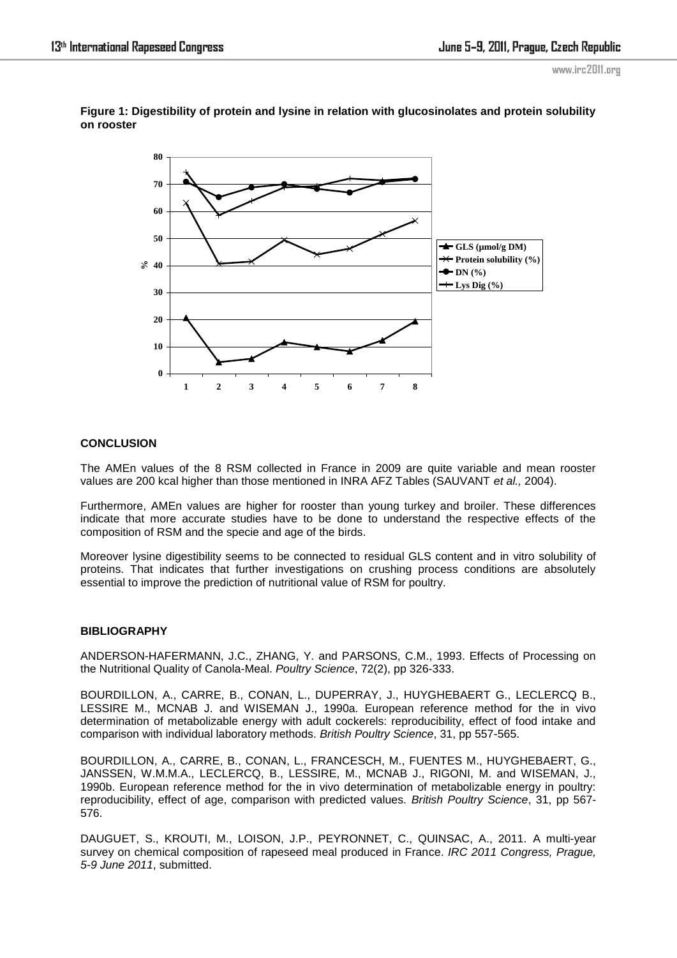

**Figure 1: Digestibility of protein and lysine in relation with glucosinolates and protein solubility on rooster** 

# **CONCLUSION**

The AMEn values of the 8 RSM collected in France in 2009 are quite variable and mean rooster values are 200 kcal higher than those mentioned in INRA AFZ Tables (SAUVANT *et al.,* 2004).

Furthermore, AMEn values are higher for rooster than young turkey and broiler. These differences indicate that more accurate studies have to be done to understand the respective effects of the composition of RSM and the specie and age of the birds.

Moreover lysine digestibility seems to be connected to residual GLS content and in vitro solubility of proteins. That indicates that further investigations on crushing process conditions are absolutely essential to improve the prediction of nutritional value of RSM for poultry.

### **BIBLIOGRAPHY**

ANDERSON-HAFERMANN, J.C., ZHANG, Y. and PARSONS, C.M., 1993. Effects of Processing on the Nutritional Quality of Canola-Meal. *Poultry Science*, 72(2), pp 326-333.

BOURDILLON, A., CARRE, B., CONAN, L., DUPERRAY, J., HUYGHEBAERT G., LECLERCQ B., LESSIRE M., MCNAB J. and WISEMAN J., 1990a. European reference method for the in vivo determination of metabolizable energy with adult cockerels: reproducibility, effect of food intake and comparison with individual laboratory methods. *British Poultry Science*, 31, pp 557-565.

BOURDILLON, A., CARRE, B., CONAN, L., FRANCESCH, M., FUENTES M., HUYGHEBAERT, G., JANSSEN, W.M.M.A., LECLERCQ, B., LESSIRE, M., MCNAB J., RIGONI, M. and WISEMAN, J., 1990b. European reference method for the in vivo determination of metabolizable energy in poultry: reproducibility, effect of age, comparison with predicted values. *British Poultry Science*, 31, pp 567- 576.

DAUGUET, S., KROUTI, M., LOISON, J.P., PEYRONNET, C., QUINSAC, A., 2011. A multi-year survey on chemical composition of rapeseed meal produced in France. *IRC 2011 Congress, Prague, 5-9 June 2011*, submitted.